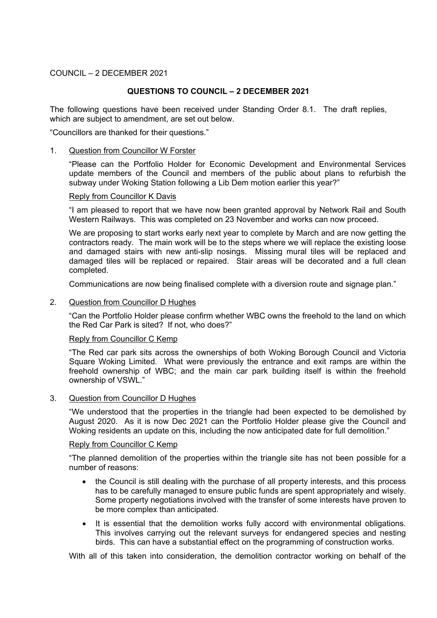### COUNCIL – 2 DECEMBER 2021

# **QUESTIONS TO COUNCIL – 2 DECEMBER 2021**

The following questions have been received under Standing Order 8.1. The draft replies, which are subject to amendment, are set out below.

"Councillors are thanked for their questions."

### 1. Question from Councillor W Forster

"Please can the Portfolio Holder for Economic Development and Environmental Services update members of the Council and members of the public about plans to refurbish the subway under Woking Station following a Lib Dem motion earlier this year?"

#### Reply from Councillor K Davis

"I am pleased to report that we have now been granted approval by Network Rail and South Western Railways. This was completed on 23 November and works can now proceed.

We are proposing to start works early next year to complete by March and are now getting the contractors ready. The main work will be to the steps where we will replace the existing loose and damaged stairs with new anti-slip nosings. Missing mural tiles will be replaced and damaged tiles will be replaced or repaired. Stair areas will be decorated and a full clean completed.

Communications are now being finalised complete with a diversion route and signage plan."

### 2. Question from Councillor D Hughes

"Can the Portfolio Holder please confirm whether WBC owns the freehold to the land on which the Red Car Park is sited? If not, who does?"

### Reply from Councillor C Kemp

"The Red car park sits across the ownerships of both Woking Borough Council and Victoria Square Woking Limited. What were previously the entrance and exit ramps are within the freehold ownership of WBC; and the main car park building itself is within the freehold ownership of VSWL."

#### 3. Question from Councillor D Hughes

"We understood that the properties in the triangle had been expected to be demolished by August 2020. As it is now Dec 2021 can the Portfolio Holder please give the Council and Woking residents an update on this, including the now anticipated date for full demolition."

#### Reply from Councillor C Kemp

"The planned demolition of the properties within the triangle site has not been possible for a number of reasons:

- the Council is still dealing with the purchase of all property interests, and this process has to be carefully managed to ensure public funds are spent appropriately and wisely. Some property negotiations involved with the transfer of some interests have proven to be more complex than anticipated.
- It is essential that the demolition works fully accord with environmental obligations. This involves carrying out the relevant surveys for endangered species and nesting birds. This can have a substantial effect on the programming of construction works.

With all of this taken into consideration, the demolition contractor working on behalf of the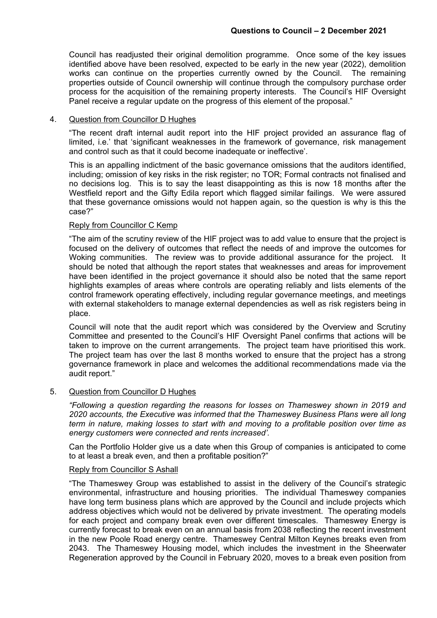Council has readjusted their original demolition programme. Once some of the key issues identified above have been resolved, expected to be early in the new year (2022), demolition works can continue on the properties currently owned by the Council. The remaining properties outside of Council ownership will continue through the compulsory purchase order process for the acquisition of the remaining property interests. The Council's HIF Oversight Panel receive a regular update on the progress of this element of the proposal."

### 4. Question from Councillor D Hughes

"The recent draft internal audit report into the HIF project provided an assurance flag of limited, i.e.' that 'significant weaknesses in the framework of governance, risk management and control such as that it could become inadequate or ineffective'.

This is an appalling indictment of the basic governance omissions that the auditors identified, including; omission of key risks in the risk register; no TOR; Formal contracts not finalised and no decisions log. This is to say the least disappointing as this is now 18 months after the Westfield report and the Gifty Edila report which flagged similar failings. We were assured that these governance omissions would not happen again, so the question is why is this the case?"

# Reply from Councillor C Kemp

"The aim of the scrutiny review of the HIF project was to add value to ensure that the project is focused on the delivery of outcomes that reflect the needs of and improve the outcomes for Woking communities. The review was to provide additional assurance for the project. It should be noted that although the report states that weaknesses and areas for improvement have been identified in the project governance it should also be noted that the same report highlights examples of areas where controls are operating reliably and lists elements of the control framework operating effectively, including regular governance meetings, and meetings with external stakeholders to manage external dependencies as well as risk registers being in place.

Council will note that the audit report which was considered by the Overview and Scrutiny Committee and presented to the Council's HIF Oversight Panel confirms that actions will be taken to improve on the current arrangements. The project team have prioritised this work. The project team has over the last 8 months worked to ensure that the project has a strong governance framework in place and welcomes the additional recommendations made via the audit report."

### 5. Question from Councillor D Hughes

*"Following a question regarding the reasons for losses on Thameswey shown in 2019 and 2020 accounts, the Executive was informed that the Thameswey Business Plans were all long term in nature, making losses to start with and moving to a profitable position over time as energy customers were connected and rents increased'.*

Can the Portfolio Holder give us a date when this Group of companies is anticipated to come to at least a break even, and then a profitable position?"

### Reply from Councillor S Ashall

"The Thameswey Group was established to assist in the delivery of the Council's strategic environmental, infrastructure and housing priorities. The individual Thameswey companies have long term business plans which are approved by the Council and include projects which address objectives which would not be delivered by private investment. The operating models for each project and company break even over different timescales. Thameswey Energy is currently forecast to break even on an annual basis from 2038 reflecting the recent investment in the new Poole Road energy centre. Thameswey Central Milton Keynes breaks even from 2043. The Thameswey Housing model, which includes the investment in the Sheerwater Regeneration approved by the Council in February 2020, moves to a break even position from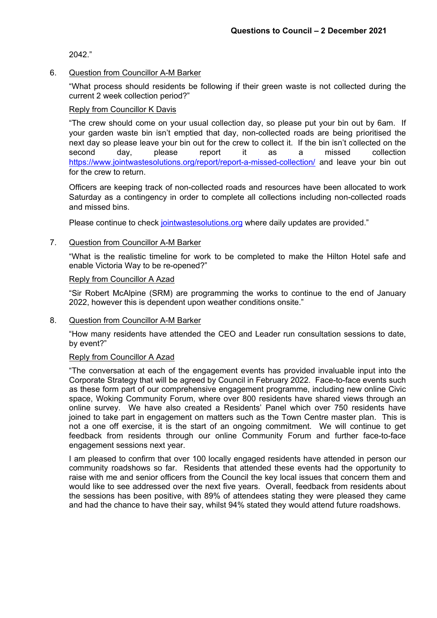2042."

### 6. Question from Councillor A-M Barker

"What process should residents be following if their green waste is not collected during the current 2 week collection period?"

### Reply from Councillor K Davis

"The crew should come on your usual collection day, so please put your bin out by 6am. If your garden waste bin isn't emptied that day, non-collected roads are being prioritised the next day so please leave your bin out for the crew to collect it. If the bin isn't collected on the second day, please report it as a missed collection <https://www.jointwastesolutions.org/report/report-a-missed-collection/> and leave your bin out for the crew to return.

Officers are keeping track of non-collected roads and resources have been allocated to work Saturday as a contingency in order to complete all collections including non-collected roads and missed bins.

Please continue to check [jointwastesolutions.org](https://www.jointwastesolutions.org/) where daily updates are provided."

### 7. Question from Councillor A-M Barker

"What is the realistic timeline for work to be completed to make the Hilton Hotel safe and enable Victoria Way to be re-opened?"

### Reply from Councillor A Azad

"Sir Robert McAlpine (SRM) are programming the works to continue to the end of January 2022, however this is dependent upon weather conditions onsite."

8. Question from Councillor A-M Barker

"How many residents have attended the CEO and Leader run consultation sessions to date, by event?"

### Reply from Councillor A Azad

"The conversation at each of the engagement events has provided invaluable input into the Corporate Strategy that will be agreed by Council in February 2022. Face-to-face events such as these form part of our comprehensive engagement programme, including new online Civic space, Woking Community Forum, where over 800 residents have shared views through an online survey. We have also created a Residents' Panel which over 750 residents have joined to take part in engagement on matters such as the Town Centre master plan. This is not a one off exercise, it is the start of an ongoing commitment. We will continue to get feedback from residents through our online Community Forum and further face-to-face engagement sessions next year.

I am pleased to confirm that over 100 locally engaged residents have attended in person our community roadshows so far. Residents that attended these events had the opportunity to raise with me and senior officers from the Council the key local issues that concern them and would like to see addressed over the next five years. Overall, feedback from residents about the sessions has been positive, with 89% of attendees stating they were pleased they came and had the chance to have their say, whilst 94% stated they would attend future roadshows.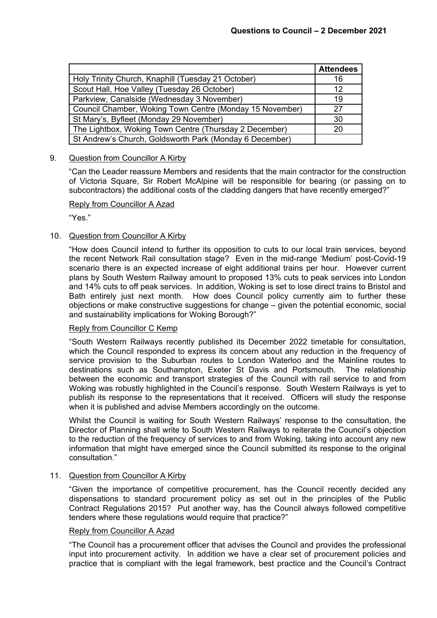|                                                          | <b>Attendees</b> |
|----------------------------------------------------------|------------------|
| Holy Trinity Church, Knaphill (Tuesday 21 October)       | 16               |
| Scout Hall, Hoe Valley (Tuesday 26 October)              | 12               |
| Parkview, Canalside (Wednesday 3 November)               | 19               |
| Council Chamber, Woking Town Centre (Monday 15 November) | 27               |
| St Mary's, Byfleet (Monday 29 November)                  | 30               |
| The Lightbox, Woking Town Centre (Thursday 2 December)   | 20               |
| St Andrew's Church, Goldsworth Park (Monday 6 December)  |                  |

# 9. Question from Councillor A Kirby

"Can the Leader reassure Members and residents that the main contractor for the construction of Victoria Square, Sir Robert McAlpine will be responsible for bearing (or passing on to subcontractors) the additional costs of the cladding dangers that have recently emerged?"

# Reply from Councillor A Azad

"Yes."

# 10. Question from Councillor A Kirby

"How does Council intend to further its opposition to cuts to our local train services, beyond the recent Network Rail consultation stage? Even in the mid-range 'Medium' post-Covid-19 scenario there is an expected increase of eight additional trains per hour. However current plans by South Western Railway amount to proposed 13% cuts to peak services into London and 14% cuts to off peak services. In addition, Woking is set to lose direct trains to Bristol and Bath entirely just next month. How does Council policy currently aim to further these objections or make constructive suggestions for change – given the potential economic, social and sustainability implications for Woking Borough?"

# Reply from Councillor C Kemp

"South Western Railways recently published its December 2022 timetable for consultation, which the Council responded to express its concern about any reduction in the frequency of service provision to the Suburban routes to London Waterloo and the Mainline routes to destinations such as Southampton, Exeter St Davis and Portsmouth. The relationship between the economic and transport strategies of the Council with rail service to and from Woking was robustly highlighted in the Council's response. South Western Railways is yet to publish its response to the representations that it received. Officers will study the response when it is published and advise Members accordingly on the outcome.

Whilst the Council is waiting for South Western Railways' response to the consultation, the Director of Planning shall write to South Western Railways to reiterate the Council's objection to the reduction of the frequency of services to and from Woking, taking into account any new information that might have emerged since the Council submitted its response to the original consultation."

### 11. Question from Councillor A Kirby

"Given the importance of competitive procurement, has the Council recently decided any dispensations to standard procurement policy as set out in the principles of the Public Contract Regulations 2015? Put another way, has the Council always followed competitive tenders where these regulations would require that practice?"

### Reply from Councillor A Azad

"The Council has a procurement officer that advises the Council and provides the professional input into procurement activity. In addition we have a clear set of procurement policies and practice that is compliant with the legal framework, best practice and the Council's Contract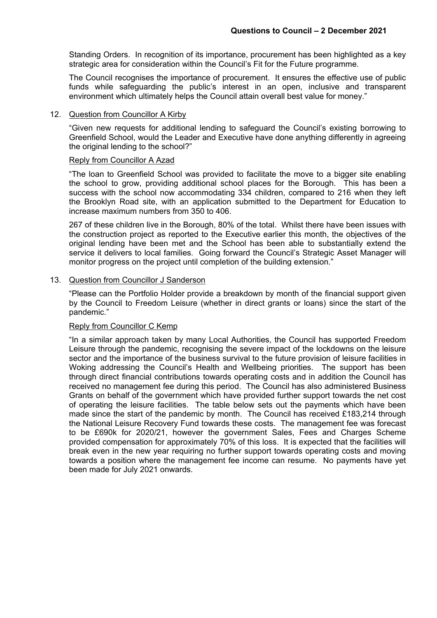Standing Orders. In recognition of its importance, procurement has been highlighted as a key strategic area for consideration within the Council's Fit for the Future programme.

The Council recognises the importance of procurement. It ensures the effective use of public funds while safeguarding the public's interest in an open, inclusive and transparent environment which ultimately helps the Council attain overall best value for money."

### 12. Question from Councillor A Kirby

"Given new requests for additional lending to safeguard the Council's existing borrowing to Greenfield School, would the Leader and Executive have done anything differently in agreeing the original lending to the school?"

#### Reply from Councillor A Azad

"The loan to Greenfield School was provided to facilitate the move to a bigger site enabling the school to grow, providing additional school places for the Borough. This has been a success with the school now accommodating 334 children, compared to 216 when they left the Brooklyn Road site, with an application submitted to the Department for Education to increase maximum numbers from 350 to 406.

267 of these children live in the Borough, 80% of the total. Whilst there have been issues with the construction project as reported to the Executive earlier this month, the objectives of the original lending have been met and the School has been able to substantially extend the service it delivers to local families. Going forward the Council's Strategic Asset Manager will monitor progress on the project until completion of the building extension."

#### 13. Question from Councillor J Sanderson

"Please can the Portfolio Holder provide a breakdown by month of the financial support given by the Council to Freedom Leisure (whether in direct grants or loans) since the start of the pandemic."

# Reply from Councillor C Kemp

"In a similar approach taken by many Local Authorities, the Council has supported Freedom Leisure through the pandemic, recognising the severe impact of the lockdowns on the leisure sector and the importance of the business survival to the future provision of leisure facilities in Woking addressing the Council's Health and Wellbeing priorities. The support has been through direct financial contributions towards operating costs and in addition the Council has received no management fee during this period. The Council has also administered Business Grants on behalf of the government which have provided further support towards the net cost of operating the leisure facilities. The table below sets out the payments which have been made since the start of the pandemic by month. The Council has received £183,214 through the National Leisure Recovery Fund towards these costs. The management fee was forecast to be £690k for 2020/21, however the government Sales, Fees and Charges Scheme provided compensation for approximately 70% of this loss. It is expected that the facilities will break even in the new year requiring no further support towards operating costs and moving towards a position where the management fee income can resume. No payments have yet been made for July 2021 onwards.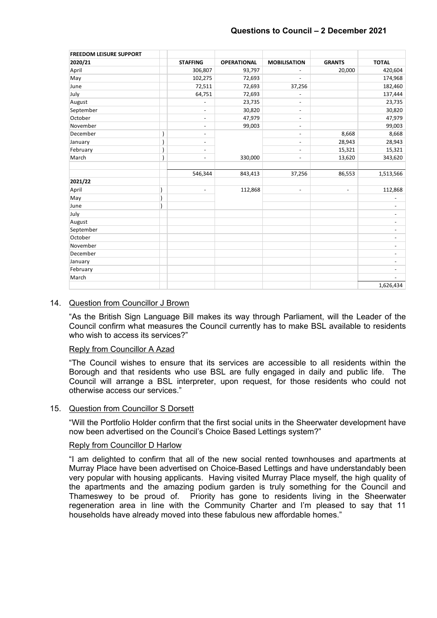| <b>FREEDOM LEISURE SUPPORT</b> |                              |                    |                          |                          |                              |
|--------------------------------|------------------------------|--------------------|--------------------------|--------------------------|------------------------------|
| 2020/21                        | <b>STAFFING</b>              | <b>OPERATIONAL</b> | <b>MOBILISATION</b>      | <b>GRANTS</b>            | <b>TOTAL</b>                 |
| April                          | 306,807                      | 93,797             | $\overline{\phantom{a}}$ | 20,000                   | 420,604                      |
| May                            | 102,275                      | 72,693             | ٠                        |                          | 174,968                      |
| June                           | 72,511                       | 72,693             | 37,256                   |                          | 182,460                      |
| July                           | 64,751                       | 72,693             | $\overline{\phantom{a}}$ |                          | 137,444                      |
| August                         | $\overline{\phantom{a}}$     | 23,735             | $\overline{\phantom{a}}$ |                          | 23,735                       |
| September                      | $\overline{\phantom{a}}$     | 30,820             | $\overline{\phantom{0}}$ |                          | 30,820                       |
| October                        | $\overline{\phantom{a}}$     | 47,979             | $\overline{\phantom{a}}$ |                          | 47,979                       |
| November                       | $\overline{\phantom{a}}$     | 99,003             | $\overline{\phantom{a}}$ |                          | 99,003                       |
| December                       | $\overline{\phantom{a}}$     |                    | $\overline{\phantom{a}}$ | 8,668                    | 8,668                        |
| January                        | $\overline{\phantom{a}}$     |                    | $\overline{\phantom{a}}$ | 28,943                   | 28,943                       |
| February                       | $\overline{\phantom{a}}$     |                    | $\overline{\phantom{a}}$ | 15,321                   | 15,321                       |
| March                          | $\qquad \qquad \blacksquare$ | 330,000            | $\overline{\phantom{a}}$ | 13,620                   | 343,620                      |
|                                | 546,344                      | 843,413            | 37,256                   | 86,553                   | 1,513,566                    |
| 2021/22                        |                              |                    |                          |                          |                              |
| April                          | $\overline{\phantom{a}}$     | 112,868            | $\overline{\phantom{a}}$ | $\overline{\phantom{a}}$ | 112,868                      |
| May                            |                              |                    |                          |                          | $\qquad \qquad \blacksquare$ |
| June                           |                              |                    |                          |                          | $\overline{\phantom{a}}$     |
| July                           |                              |                    |                          |                          | $\overline{\phantom{a}}$     |
| August                         |                              |                    |                          |                          | $\overline{\phantom{a}}$     |
| September                      |                              |                    |                          |                          | $\overline{\phantom{a}}$     |
| October                        |                              |                    |                          |                          | $\overline{\phantom{a}}$     |
| November                       |                              |                    |                          |                          | $\overline{\phantom{a}}$     |
| December                       |                              |                    |                          |                          | $\overline{\phantom{a}}$     |
| January                        |                              |                    |                          |                          | $\overline{\phantom{a}}$     |
| February                       |                              |                    |                          |                          | $\overline{\phantom{a}}$     |
| March                          |                              |                    |                          |                          |                              |
|                                |                              |                    |                          |                          | 1,626,434                    |

# 14. Question from Councillor J Brown

"As the British Sign Language Bill makes its way through Parliament, will the Leader of the Council confirm what measures the Council currently has to make BSL available to residents who wish to access its services?"

### Reply from Councillor A Azad

"The Council wishes to ensure that its services are accessible to all residents within the Borough and that residents who use BSL are fully engaged in daily and public life. The Council will arrange a BSL interpreter, upon request, for those residents who could not otherwise access our services."

### 15. Question from Councillor S Dorsett

"Will the Portfolio Holder confirm that the first social units in the Sheerwater development have now been advertised on the Council's Choice Based Lettings system?"

### Reply from Councillor D Harlow

"I am delighted to confirm that all of the new social rented townhouses and apartments at Murray Place have been advertised on Choice-Based Lettings and have understandably been very popular with housing applicants. Having visited Murray Place myself, the high quality of the apartments and the amazing podium garden is truly something for the Council and Thameswey to be proud of. Priority has gone to residents living in the Sheerwater regeneration area in line with the Community Charter and I'm pleased to say that 11 households have already moved into these fabulous new affordable homes."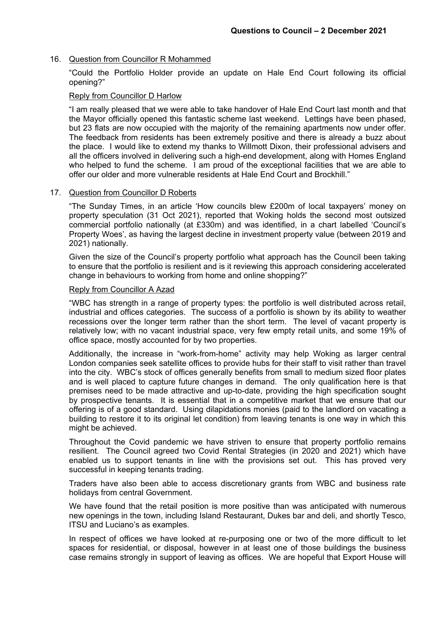### 16. Question from Councillor R Mohammed

"Could the Portfolio Holder provide an update on Hale End Court following its official opening?"

### Reply from Councillor D Harlow

"I am really pleased that we were able to take handover of Hale End Court last month and that the Mayor officially opened this fantastic scheme last weekend. Lettings have been phased, but 23 flats are now occupied with the majority of the remaining apartments now under offer. The feedback from residents has been extremely positive and there is already a buzz about the place. I would like to extend my thanks to Willmott Dixon, their professional advisers and all the officers involved in delivering such a high-end development, along with Homes England who helped to fund the scheme. I am proud of the exceptional facilities that we are able to offer our older and more vulnerable residents at Hale End Court and Brockhill."

### 17. Question from Councillor D Roberts

"The Sunday Times, in an article 'How councils blew £200m of local taxpayers' money on property speculation (31 Oct 2021), reported that Woking holds the second most outsized commercial portfolio nationally (at £330m) and was identified, in a chart labelled 'Council's Property Woes', as having the largest decline in investment property value (between 2019 and 2021) nationally.

Given the size of the Council's property portfolio what approach has the Council been taking to ensure that the portfolio is resilient and is it reviewing this approach considering accelerated change in behaviours to working from home and online shopping?"

### Reply from Councillor A Azad

"WBC has strength in a range of property types: the portfolio is well distributed across retail, industrial and offices categories. The success of a portfolio is shown by its ability to weather recessions over the longer term rather than the short term. The level of vacant property is relatively low; with no vacant industrial space, very few empty retail units, and some 19% of office space, mostly accounted for by two properties.

Additionally, the increase in "work-from-home" activity may help Woking as larger central London companies seek satellite offices to provide hubs for their staff to visit rather than travel into the city. WBC's stock of offices generally benefits from small to medium sized floor plates and is well placed to capture future changes in demand. The only qualification here is that premises need to be made attractive and up-to-date, providing the high specification sought by prospective tenants. It is essential that in a competitive market that we ensure that our offering is of a good standard. Using dilapidations monies (paid to the landlord on vacating a building to restore it to its original let condition) from leaving tenants is one way in which this might be achieved.

Throughout the Covid pandemic we have striven to ensure that property portfolio remains resilient. The Council agreed two Covid Rental Strategies (in 2020 and 2021) which have enabled us to support tenants in line with the provisions set out. This has proved very successful in keeping tenants trading.

Traders have also been able to access discretionary grants from WBC and business rate holidays from central Government.

We have found that the retail position is more positive than was anticipated with numerous new openings in the town, including Island Restaurant, Dukes bar and deli, and shortly Tesco, ITSU and Luciano's as examples.

In respect of offices we have looked at re-purposing one or two of the more difficult to let spaces for residential, or disposal, however in at least one of those buildings the business case remains strongly in support of leaving as offices. We are hopeful that Export House will